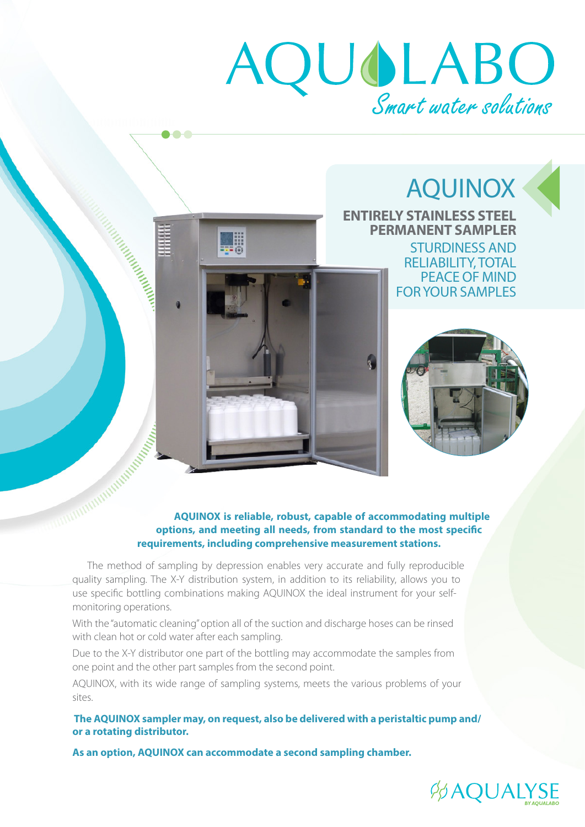# AQUOLABO

 $\sqrt{2}$ 

Manufacturing Contractor

 $\bullet$   $\bullet$   $\bullet$ 

HE

### AQUINOX **ENTIRELY STAINLESS STEEL PERMANENT SAMPLER** STURDINESS AND RELIABILITY, TOTAL PEACE OF MIND



FOR YOUR SAMPLES

## **AQUINOX is reliable, robust, capable of accommodating multiple options, and meeting all needs. from standard**  $\sim$  **if options, and meeting all needs, from standard to the most specific requirements, including comprehensive measurement stations.**

 The method of sampling by depression enables very accurate and fully reproducible quality sampling. The X-Y distribution system, in addition to its reliability, allows you to use specific bottling combinations making AQUINOX the ideal instrument for your selfmonitoring operations.

With the "automatic cleaning" option all of the suction and discharge hoses can be rinsed with clean hot or cold water after each sampling.

Due to the X-Y distributor one part of the bottling may accommodate the samples from one point and the other part samples from the second point.

AQUINOX, with its wide range of sampling systems, meets the various problems of your sites.

 **The AQUINOX sampler may, on request, also be delivered with a peristaltic pump and/ or a rotating distributor.**

**As an option, AQUINOX can accommodate a second sampling chamber.**